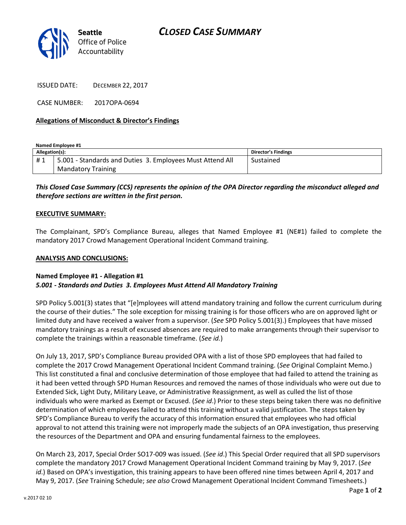

ISSUED DATE: DECEMBER 22, 2017

CASE NUMBER: 2017OPA-0694

## **Allegations of Misconduct & Director's Findings**

**Named Employee #1**

| Allegation(s): |                                                           | <b>Director's Findings</b> |
|----------------|-----------------------------------------------------------|----------------------------|
| #1             | 5.001 - Standards and Duties 3. Employees Must Attend All | Sustained                  |
|                | <b>Mandatory Training</b>                                 |                            |

# *This Closed Case Summary (CCS) represents the opinion of the OPA Director regarding the misconduct alleged and therefore sections are written in the first person.*

### **EXECUTIVE SUMMARY:**

The Complainant, SPD's Compliance Bureau, alleges that Named Employee #1 (NE#1) failed to complete the mandatory 2017 Crowd Management Operational Incident Command training.

#### **ANALYSIS AND CONCLUSIONS:**

#### **Named Employee #1 - Allegation #1** *5.001 - Standards and Duties 3. Employees Must Attend All Mandatory Training*

SPD Policy 5.001(3) states that "[e]mployees will attend mandatory training and follow the current curriculum during the course of their duties." The sole exception for missing training is for those officers who are on approved light or limited duty and have received a waiver from a supervisor. (*See* SPD Policy 5.001(3).) Employees that have missed mandatory trainings as a result of excused absences are required to make arrangements through their supervisor to complete the trainings within a reasonable timeframe. (*See id.*)

On July 13, 2017, SPD's Compliance Bureau provided OPA with a list of those SPD employees that had failed to complete the 2017 Crowd Management Operational Incident Command training. (*See* Original Complaint Memo.) This list constituted a final and conclusive determination of those employee that had failed to attend the training as it had been vetted through SPD Human Resources and removed the names of those individuals who were out due to Extended Sick, Light Duty, Military Leave, or Administrative Reassignment, as well as culled the list of those individuals who were marked as Exempt or Excused. (*See id*.) Prior to these steps being taken there was no definitive determination of which employees failed to attend this training without a valid justification. The steps taken by SPD's Compliance Bureau to verify the accuracy of this information ensured that employees who had official approval to not attend this training were not improperly made the subjects of an OPA investigation, thus preserving the resources of the Department and OPA and ensuring fundamental fairness to the employees.

On March 23, 2017, Special Order SO17-009 was issued. (*See id*.) This Special Order required that all SPD supervisors complete the mandatory 2017 Crowd Management Operational Incident Command training by May 9, 2017. (*See id*.) Based on OPA's investigation, this training appears to have been offered nine times between April 4, 2017 and May 9, 2017. (*See* Training Schedule; *see also* Crowd Management Operational Incident Command Timesheets.)